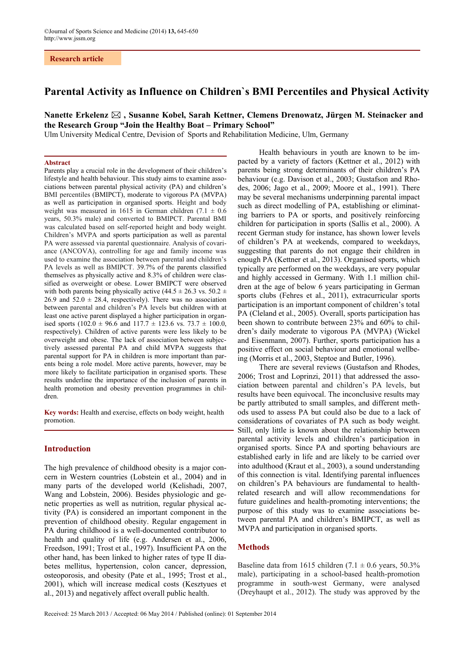# **Parental Activity as Influence on Children`s BMI Percentiles and Physical Activity**

# **Nanette Erkelenz , Susanne Kobel, Sarah Kettner, Clemens Drenowatz, Jürgen M. Steinacker and the Research Group "Join the Healthy Boat – Primary School"**

Ulm University Medical Centre, Devision of Sports and Rehabilitation Medicine, Ulm, Germany

### **Abstract**

Parents play a crucial role in the development of their children's lifestyle and health behaviour. This study aims to examine associations between parental physical activity (PA) and children's BMI percentiles (BMIPCT), moderate to vigorous PA (MVPA) as well as participation in organised sports. Height and body weight was measured in 1615 in German children (7.1  $\pm$  0.6 years, 50.3% male) and converted to BMIPCT. Parental BMI was calculated based on self-reported height and body weight. Children's MVPA and sports participation as well as parental PA were assessed via parental questionnaire. Analysis of covariance (ANCOVA), controlling for age and family income was used to examine the association between parental and children's PA levels as well as BMIPCT. 39.7% of the parents classified themselves as physically active and 8.3% of children were classified as overweight or obese. Lower BMIPCT were observed with both parents being physically active (44.5  $\pm$  26.3 vs. 50.2  $\pm$ 26.9 and  $52.0 \pm 28.4$ , respectively). There was no association between parental and children's PA levels but children with at least one active parent displayed a higher participation in organised sports (102.0  $\pm$  96.6 and 117.7  $\pm$  123.6 vs. 73.7  $\pm$  100.0, respectively). Children of active parents were less likely to be overweight and obese. The lack of association between subjectively assessed parental PA and child MVPA suggests that parental support for PA in children is more important than parents being a role model. More active parents, however, may be more likely to facilitate participation in organised sports. These results underline the importance of the inclusion of parents in health promotion and obesity prevention programmes in children.

**Key words:** Health and exercise, effects on body weight, health promotion.

# **Introduction**

The high prevalence of childhood obesity is a major concern in Western countries (Lobstein et al., 2004) and in many parts of the developed world (Kelishadi, 2007, Wang and Lobstein, 2006). Besides physiologic and genetic properties as well as nutrition, regular physical activity (PA) is considered an important component in the prevention of childhood obesity. Regular engagement in PA during childhood is a well-documented contributor to health and quality of life (e.g. Andersen et al., 2006, Freedson, 1991; Trost et al., 1997). Insufficient PA on the other hand, has been linked to higher rates of type II diabetes mellitus, hypertension, colon cancer, depression, osteoporosis, and obesity (Pate et al., 1995; Trost et al., 2001), which will increase medical costs (Kesztyues et al., 2013) and negatively affect overall public health.

Health behaviours in youth are known to be impacted by a variety of factors (Kettner et al., 2012) with parents being strong determinants of their children's PA behaviour (e.g. Davison et al., 2003; Gustafson and Rhodes, 2006; Jago et al., 2009; Moore et al., 1991). There may be several mechanisms underpinning parental impact such as direct modelling of PA, establishing or eliminating barriers to PA or sports, and positively reinforcing children for participation in sports (Sallis et al., 2000). A recent German study for instance, has shown lower levels of children's PA at weekends, compared to weekdays, suggesting that parents do not engage their children in enough PA (Kettner et al., 2013). Organised sports, which typically are performed on the weekdays, are very popular and highly accessed in Germany. With 1.1 million children at the age of below 6 years participating in German sports clubs (Fehres et al., 2011), extracurricular sports participation is an important component of children's total PA (Cleland et al., 2005). Overall, sports participation has been shown to contribute between 23% and 60% to children's daily moderate to vigorous PA (MVPA) (Wickel and Eisenmann, 2007). Further, sports participation has a positive effect on social behaviour and emotional wellbeing (Morris et al., 2003, Steptoe and Butler, 1996).

There are several reviews (Gustafson and Rhodes, 2006; Trost and Loprinzi, 2011) that addressed the association between parental and children's PA levels, but results have been equivocal. The inconclusive results may be partly attributed to small samples, and different methods used to assess PA but could also be due to a lack of considerations of covariates of PA such as body weight. Still, only little is known about the relationship between parental activity levels and children's participation in organised sports. Since PA and sporting behaviours are established early in life and are likely to be carried over into adulthood (Kraut et al., 2003), a sound understanding of this connection is vital. Identifying parental influences on children's PA behaviours are fundamental to healthrelated research and will allow recommendations for future guidelines and health-promoting interventions; the purpose of this study was to examine associations between parental PA and children's BMIPCT, as well as MVPA and participation in organised sports.

## **Methods**

Baseline data from 1615 children (7.1  $\pm$  0.6 years, 50.3% male), participating in a school-based health-promotion programme in south-west Germany, were analysed (Dreyhaupt et al., 2012). The study was approved by the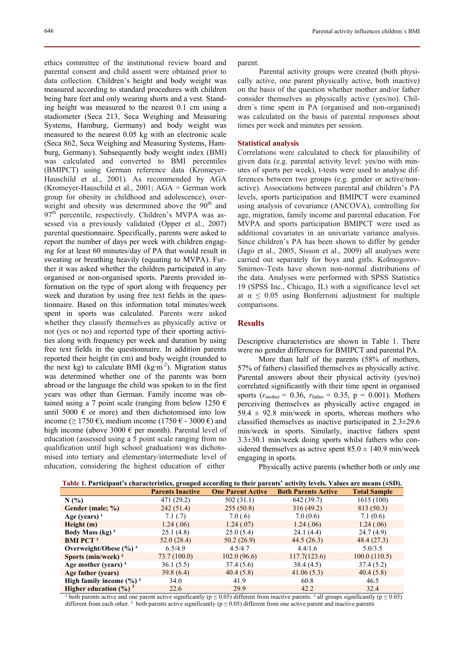ethics committee of the institutional review board and parental consent and child assent were obtained prior to data collection. Children's height and body weight was measured according to standard procedures with children being bare feet and only wearing shorts and a vest. Standing height was measured to the nearest 0.1 cm using a stadiometer (Seca 213, Seca Weighing and Measuring Systems, Hamburg, Germany) and body weight was measured to the nearest 0.05 kg with an electronic scale (Seca 862, Seca Weighing and Measuring Systems, Hamburg, Germany). Subsequently body weight index (BMI) was calculated and converted to BMI percentiles (BMIPCT) using German reference data (Kromeyer-Hauschild et al., 2001). As recommended by AGA (Kromeyer-Hauschild et al., 2001; AGA = German work group for obesity in childhood and adolescence), overweight and obesity was determined above the  $90<sup>th</sup>$  and  $97<sup>th</sup>$  percentile, respectively. Children's MVPA was assessed via a previously validated (Opper et al., 2007) parental questionnaire. Specifically, parents were asked to report the number of days per week with children engaging for at least 60 minutes/day of PA that would result in sweating or breathing heavily (equating to MVPA). Further it was asked whether the children participated in any organised or non-organised sports. Parents provided information on the type of sport along with frequency per week and duration by using free text fields in the questionnaire. Based on this information total minutes/week spent in sports was calculated. Parents were asked whether they classify themselves as physically active or not (yes or no) and reported type of their sporting activities along with frequency per week and duration by using free text fields in the questionnaire. In addition parents reported their height (in cm) and body weight (rounded to the next kg) to calculate BMI (kg·m<sup>-2</sup>). Migration status was determined whether one of the parents was born abroad or the language the child was spoken to in the first years was other than German. Family income was obtained using a 7 point scale (ranging from below 1250  $\epsilon$ until 5000  $\epsilon$  or more) and then dichotomised into low income (≥ 1750 €), medium income (1750 € - 3000 €) and high income (above 3000  $\epsilon$  per month). Parental level of education (assessed using a 5 point scale ranging from no qualification until high school graduation) was dichotomised into tertiary and elementary/intermediate level of education, considering the highest education of either

parent.

Parental activity groups were created (both physically active, one parent physically active, both inactive) on the basis of the question whether mother and/or father consider themselves as physically active (yes/no). Children´s time spent in PA (organised and non-organised) was calculated on the basis of parental responses about times per week and minutes per session.

### **Statistical analysis**

Correlations were calculated to check for plausibility of given data (e.g. parental activity level: yes/no with minutes of sports per week), t-tests were used to analyse differences between two groups (e.g. gender or active/nonactive). Associations between parental and children's PA levels, sports participation and BMIPCT were examined using analysis of covariance (ANCOVA), controlling for age, migration, family income and parental education. For MVPA and sports participation BMIPCT were used as additional covariates in an univariate variance analysis. Since children's PA has been shown to differ by gender (Jago et al., 2005, Sisson et al., 2009) all analyses were carried out separately for boys and girls. Kolmogorov-Smirnov-Tests have shown non-normal distributions of the data. Analyses were performed with SPSS Statistics 19 (SPSS Inc., Chicago, IL) with a significance level set at  $\alpha \leq 0.05$  using Bonferroni adjustment for multiple comparisons.

## **Results**

Descriptive characteristics are shown in Table 1. There were no gender differences for BMIPCT and parental PA.

More than half of the parents (58% of mothers, 57% of fathers) classified themselves as physically active. Parental answers about their physical activity (yes/no) correlated significantly with their time spent in organised sports ( $r_{\text{mother}} = 0.36$ ,  $r_{\text{father}} = 0.35$ ,  $p = 0.001$ ). Mothers perceiving themselves as physically active engaged in 59.4  $\pm$  92.8 min/week in sports, whereas mothers who classified themselves as inactive participated in 2.3±29.6 min/week in sports. Similarly, inactive fathers spent 3.3±30.1 min/week doing sports whilst fathers who considered themselves as active spent  $85.0 \pm 140.9$  min/week engaging in sports.

Physically active parents (whether both or only one

**Table 1. Participant's characteristics, grouped according to their parents' activity levels. Values are means (±SD).** 

|                                        | <b>Parents Inactive</b> | <b>One Parent Active</b> | <b>Both Parents Active</b> | <b>Total Sample</b> |
|----------------------------------------|-------------------------|--------------------------|----------------------------|---------------------|
| N(%                                    | 471 (29.2)              | 502(31.1)                | 642 (39.7)                 | 1615(100)           |
| Gender (male; %)                       | 242(51.4)               | 255(50.8)                | 316(49.2)                  | 813 (50.3)          |
| Age (years) $1$                        | 7.1(0.7)                | 7.0(.6)                  | 7.0(0.6)                   | 7.1(0.6)            |
| Height(m)                              | 1.24(.06)               | 1.24(.07)                | 1.24(.06)                  | 1.24(.06)           |
| Body Mass $(kg)^3$                     | 25.1(4.8)               | 25.0(5.4)                | 24.1(4.4)                  | 24.7(4.9)           |
| <b>BMI PCT<sup>3</sup></b>             | 52.0(28.4)              | 50.2(26.9)               | 44.5(26.3)                 | 48.4(27.3)          |
| Overweight/Obese $(\frac{9}{6})^3$     | 6.5/4.9                 | 4.5/4.7                  | 4.4/1.6                    | 5.0/3.5             |
| Sports (min/week) $2$                  | 73.7(100.0)             | 102.0(96.6)              | 117.7(123.6)               | 100.0(110.5)        |
| Age mother (years) $2$                 | 36.1(5.5)               | 37.4(5.6)                | 38.4(4.5)                  | 37.4(5.2)           |
| Age father (years)                     | 39.8(6.4)               | 40.4(5.8)                | 41.06(5.3)                 | 40.4(5.8)           |
| High family income $(\%)$ <sup>2</sup> | 34.0                    | 41.9                     | 60.8                       | 46.5                |
| Higher education $(\frac{6}{9})^3$     | 22.6                    | 29.9                     | 42.2                       | 32.4                |

<sup>1</sup> both parents active and one parent active significantly ( $p \le 0.05$ ) different from inactive parents. <sup>2</sup> all groups significantly ( $p \le 0.05$ ) different from each other.<sup>3</sup> both parents active significantly ( $p \le 0.05$ ) different from one active parent and inactive parents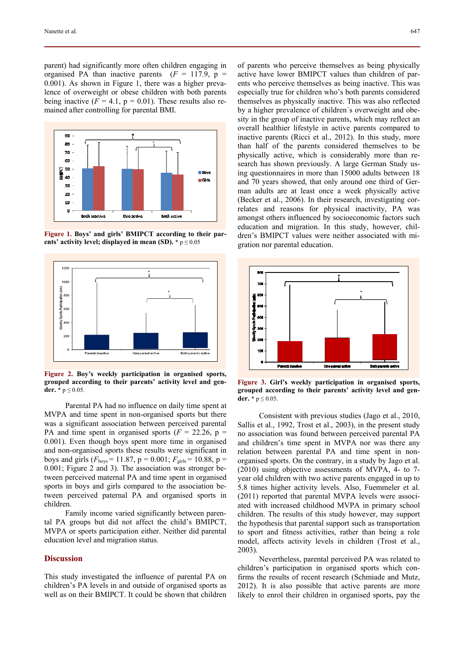parent) had significantly more often children engaging in organised PA than inactive parents  $(F = 117.9, p =$ 0.001). As shown in Figure 1, there was a higher prevalence of overweight or obese children with both parents being inactive  $(F = 4.1, p = 0.01)$ . These results also remained after controlling for parental BMI.



**Figure 1. Boys' and girls' BMIPCT according to their parents' activity level; displayed in mean (SD).** \* p ≤ 0.05



**Figure 2. Boy's weekly participation in organised sports, grouped according to their parents' activity level and gender.**  $*$   $p \le 0.05$ .

Parental PA had no influence on daily time spent at MVPA and time spent in non-organised sports but there was a significant association between perceived parental PA and time spent in organised sports  $(F = 22.26, p =$ 0.001). Even though boys spent more time in organised and non-organised sports these results were significant in boys and girls ( $F_{\text{boys}}$  = 11.87, p = 0.001;  $F_{\text{grils}}$  = 10.88, p = 0.001; Figure 2 and 3). The association was stronger between perceived maternal PA and time spent in organised sports in boys and girls compared to the association between perceived paternal PA and organised sports in children.

Family income varied significantly between parental PA groups but did not affect the child's BMIPCT, MVPA or sports participation either. Neither did parental education level and migration status.

### **Discussion**

This study investigated the influence of parental PA on children's PA levels in and outside of organised sports as well as on their BMIPCT. It could be shown that children

of parents who perceive themselves as being physically active have lower BMIPCT values than children of parents who perceive themselves as being inactive. This was especially true for children who's both parents considered themselves as physically inactive. This was also reflected by a higher prevalence of children´s overweight and obesity in the group of inactive parents, which may reflect an overall healthier lifestyle in active parents compared to inactive parents (Ricci et al., 2012). In this study, more than half of the parents considered themselves to be physically active, which is considerably more than research has shown previously. A large German Study using questionnaires in more than 15000 adults between 18 and 70 years showed, that only around one third of German adults are at least once a week physically active (Becker et al., 2006). In their research, investigating correlates and reasons for physical inactivity, PA was amongst others influenced by socioeconomic factors such education and migration. In this study, however, children's BMIPCT values were neither associated with migration nor parental education.



**Figure 3. Girl's weekly participation in organised sports, grouped according to their parents' activity level and gender.**  $*$   $p \le 0.05$ .

Consistent with previous studies (Jago et al., 2010, Sallis et al., 1992, Trost et al., 2003), in the present study no association was found between perceived parental PA and children's time spent in MVPA nor was there any relation between parental PA and time spent in nonorganised sports. On the contrary, in a study by Jago et al. (2010) using objective assessments of MVPA, 4- to 7 year old children with two active parents engaged in up to 5.8 times higher activity levels. Also, Fuemmeler et al. (2011) reported that parental MVPA levels were associated with increased childhood MVPA in primary school children. The results of this study however, may support the hypothesis that parental support such as transportation to sport and fitness activities, rather than being a role model, affects activity levels in children (Trost et al., 2003).

Nevertheless, parental perceived PA was related to children's participation in organised sports which confirms the results of recent research (Schmiade and Mutz, 2012). It is also possible that active parents are more likely to enrol their children in organised sports, pay the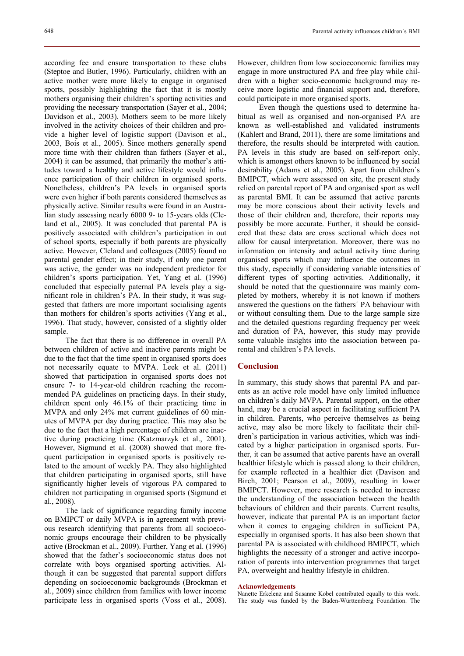according fee and ensure transportation to these clubs (Steptoe and Butler, 1996). Particularly, children with an active mother were more likely to engage in organised sports, possibly highlighting the fact that it is mostly mothers organising their children's sporting activities and providing the necessary transportation (Sayer et al., 2004; Davidson et al., 2003). Mothers seem to be more likely involved in the activity choices of their children and provide a higher level of logistic support (Davison et al., 2003, Bois et al., 2005). Since mothers generally spend more time with their children than fathers (Sayer et al., 2004) it can be assumed, that primarily the mother's attitudes toward a healthy and active lifestyle would influence participation of their children in organised sports. Nonetheless, children's PA levels in organised sports were even higher if both parents considered themselves as physically active. Similar results were found in an Australian study assessing nearly 6000 9- to 15-years olds (Cleland et al., 2005). It was concluded that parental PA is positively associated with children's participation in out of school sports, especially if both parents are physically active. However, Cleland and colleagues (2005) found no parental gender effect; in their study, if only one parent was active, the gender was no independent predictor for children's sports participation. Yet, Yang et al. (1996) concluded that especially paternal PA levels play a significant role in children's PA. In their study, it was suggested that fathers are more important socialising agents than mothers for children's sports activities (Yang et al.,

sample. The fact that there is no difference in overall PA between children of active and inactive parents might be due to the fact that the time spent in organised sports does not necessarily equate to MVPA. Leek et al. (2011) showed that participation in organised sports does not ensure 7- to 14-year-old children reaching the recommended PA guidelines on practicing days. In their study, children spent only 46.1% of their practicing time in MVPA and only 24% met current guidelines of 60 minutes of MVPA per day during practice. This may also be due to the fact that a high percentage of children are inactive during practicing time (Katzmarzyk et al., 2001). However, Sigmund et al. (2008) showed that more frequent participation in organised sports is positively related to the amount of weekly PA. They also highlighted that children participating in organised sports, still have significantly higher levels of vigorous PA compared to children not participating in organised sports (Sigmund et al., 2008).

1996). That study, however, consisted of a slightly older

The lack of significance regarding family income on BMIPCT or daily MVPA is in agreement with previous research identifying that parents from all socioeconomic groups encourage their children to be physically active (Brockman et al., 2009). Further, Yang et al. (1996) showed that the father's socioeconomic status does not correlate with boys organised sporting activities. Although it can be suggested that parental support differs depending on socioeconomic backgrounds (Brockman et al., 2009) since children from families with lower income participate less in organised sports (Voss et al., 2008). However, children from low socioeconomic families may engage in more unstructured PA and free play while children with a higher socio-economic background may receive more logistic and financial support and, therefore, could participate in more organised sports.

Even though the questions used to determine habitual as well as organised and non-organised PA are known as well-established and validated instruments (Kahlert and Brand, 2011), there are some limitations and therefore, the results should be interpreted with caution. PA levels in this study are based on self-report only, which is amongst others known to be influenced by social desirability (Adams et al., 2005). Apart from children´s BMIPCT, which were assessed on site, the present study relied on parental report of PA and organised sport as well as parental BMI. It can be assumed that active parents may be more conscious about their activity levels and those of their children and, therefore, their reports may possibly be more accurate. Further, it should be considered that these data are cross sectional which does not allow for causal interpretation. Moreover, there was no information on intensity and actual activity time during organised sports which may influence the outcomes in this study, especially if considering variable intensities of different types of sporting activities. Additionally, it should be noted that the questionnaire was mainly completed by mothers, whereby it is not known if mothers answered the questions on the fathers´ PA behaviour with or without consulting them. Due to the large sample size and the detailed questions regarding frequency per week and duration of PA, however, this study may provide some valuable insights into the association between parental and children's PA levels.

## **Conclusion**

In summary, this study shows that parental PA and parents as an active role model have only limited influence on children's daily MVPA. Parental support, on the other hand, may be a crucial aspect in facilitating sufficient PA in children. Parents, who perceive themselves as being active, may also be more likely to facilitate their children's participation in various activities, which was indicated by a higher participation in organised sports. Further, it can be assumed that active parents have an overall healthier lifestyle which is passed along to their children, for example reflected in a healthier diet (Davison and Birch, 2001; Pearson et al., 2009), resulting in lower BMIPCT. However, more research is needed to increase the understanding of the association between the health behaviours of children and their parents. Current results, however, indicate that parental PA is an important factor when it comes to engaging children in sufficient PA, especially in organised sports. It has also been shown that parental PA is associated with childhood BMIPCT, which highlights the necessity of a stronger and active incorporation of parents into intervention programmes that target PA, overweight and healthy lifestyle in children.

### **Acknowledgements**

Nanette Erkelenz and Susanne Kobel contributed equally to this work. The study was funded by the Baden-Württemberg Foundation. The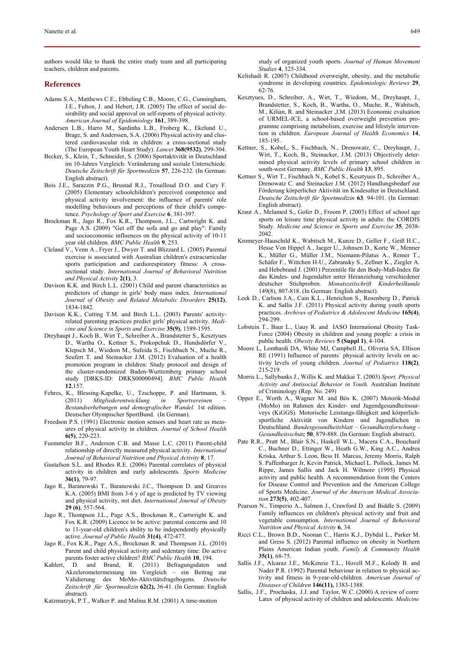authors would like to thank the entire study team and all participating teachers, children and parents.

### **References**

- Adams S.A., Matthews C.E., Ebbeling C.B., Moore, C.G., Cunningham, J.E., Fulton, J. and Hebert, J.R. (2005) The effect of social desirability and social approval on self-reports of physical activity. *American Journal of Epidemiology* **161**, 389-398.
- Andersen L.B., Harro M., Sardinha L.B., Froberg K., Ekelund U., Brage, S. and Anderssen, S.A. (2006) Physical activity and clustered cardiovascular risk in children: a cross-sectional study (The European Youth Heart Study). *Lancet* **368(9532)**, 299-304.
- Becker, S., Klein, T., Schneider, S. (2006) Sportaktivität in Deutschland im 10-Jahres Vergleich: Veränderung und soziale Unterschiede. *Deutsche Zeitschrift für Sportmedizin* **57**, 226-232. (In German: English abstract).
- Bois J.E., Sarazzin P.G., Brustad R.J., Trouilloud D.O. and Cury F. (2005) Elementary schoolchildren's perceived competence and physical activity involvement: the influence of parents' role modelling behaviours and perceptions of their child's competence. *Psychology of Sport and Exercise* **6**, 381-397.
- Brockman R., Jago R., Fox K.R., Thompson, J.L., Cartwright K. and Page A.S. (2009) "Get off the sofa and go and play": Family and socioeconomic influences on the physical activity of 10-11 year old children. *BMC Public Health* **9**, 253.
- Cleland V., Venn A., Fryer J., Dwyer T. and Blizzard L. (2005) Parental exercise is associated with Australian children's extracurricular sports participation and cardiorespiratory fitness: A crosssectional study. *International Journal of Behavioral Nutrition and Physical Activity* **2(1)**, 3.
- Davison K.K. and Birch L.L. (2001) Child and parent characteristics as predictors of change in girls' body mass index. *International Journal of Obesity and Related Metabolic Disorders* **25(12)**, 1834-1842.
- Davison K.K., Cutting T.M. and Birch L.L. (2003) Parents' activityrelated parenting practices predict girls' physical activity. *Medicine and Science in Sports and Exercise* **35(9)**, 1589-1595.
- Dreyhaupt J., Koch B., Wirt T., Schreiber A., Brandstetter S., Kesztyues D., Wartha O., Kettner S., Prokopchuk D., Hundsdörfer V., Klepsch M., Wiedom M., Sufeida S., Fischbach N., Muche R., Seufert T. and Steinacker J.M. (2012) Evaluation of a health promotion program in children: Study protocol and design of the cluster-randomized Baden-Wurttemberg primary school study [DRKS-ID: DRKS00000494]. *BMC Public Health* **12**,157.
- Fehres, K., Blessing-Kapelke, U., Tzschoppe, P. and Hartmann, S. (2011) *Mitgliederentwicklung in Sportvereinen – Bestandserhebungen und demografischer Wandel.* 1st edition. Deutscher Olympischer SportBund. (In German).
- Freedson P.S. (1991) Electronic motion sensors and heart rate as measures of physical activity in children. *Journal of School Health* **6(5)**, 220-223.
- Fuemmeler B.F., Anderson C.B. and Masse L.C. (2011) Parent-child relationship of directly measured physical activity. *International Journal of Behavioral Nutrition and Physical Activity* **8**, 17.
- Gustafson S.L. and Rhodes R.E. (2006) Parental correlates of physical activity in children and early adolescents. *Sports Medicine* **36(1)**, 79-97.
- Jago R., Baranowski T., Baranowski J.C., Thompson D. and Greaves K.A. (2005) BMI from 3-6 y of age is predicted by TV viewing and physical activity, not diet. *International Journal of Obesity* **29 (6)**, 557-564.
- Jago R., Thompson J.L., Page A.S., Brockman R., Cartwright K. and Fox K.R. (2009) Licence to be active: parental concerns and 10 to 11-year-old children's ability to be independently physically active. *Journal of Public Health* **31(4)**, 472-477.
- Jago R., Fox K.R., Page A.S., Brockman R. and Thompson J.L. (2010) Parent and child physical activity and sedentary time: Do active parents foster active children? *BMC Public Health* **10**, 194.
- Kahlert, D. and Brand, R. (2011) Befragungsdaten und Akzelerometermessung im Vergleich – ein Beitrag zur Validierung des MoMo-Aktivitätsfragebogens. *Deutsche Zeitschrift für Sportmedizin* **62(2),** 36-41. (In German: English abstract).
- Katzmarzyk, P.T., Walker P. and Malina R.M. (2001) A time-motion
- Kelishadi R. (2007) Childhood overweight, obesity, and the metabolic syndrome in developing countries. *Epidemiologic Reviews* **29**, 62-76.
- Kesztyues, D., Schreiber, A., Wirt, T., Wiedom, M., Dreyhaupt, J., Brandstetter, S., Koch, B., Wartha, O., Muche, R., Wabitsch, M., Kilian, R. and Steinacker ,J.M. (2013) Economic evaluation of URMEL-ICE, a school-based overweight prevention programme comprising metabolism, exercise and lifestyle intervention in children. *European Journal of Health Economics* **14**, 185-195.
- Kettner, S., Kobel,, S., Fischbach, N., Drenowatz, C., Dreyhaupt, J., Wirt, T., Koch, B., Steinacker, J.M. (2013) Objectively determined physical activity levels of primary school children in south-west Germany. *BMC Public Health* **13**, 895.
- Kettner S., Wirt T., Fischbach N., Kobel S., Kesztyues D., Schreiber A., Drenowatz C. and Steinacker J.M. (2012) Handlungsbedarf zur Förderung körperlicher Aktivität im Kindesalter in Deutschland. *Deutsche Zeitschrift für Sportmedizin* **63***,* 94-101. (In German: English abstract).
- Kraut A., Melamed S., Gofer D., Froom P. (2003) Effect of school age sports on leisure time physical activity in adults: the CORDIS Study. *Medicine and Science in Sports and Exercise* **35**, 2038- 2042.
- Kromeyer-Hauschild K., Wabitsch M., Kunze D., Geller F., Geiß H.C., Hesse Von Hippel A., Jaeger U., Johnsen D., Korte W., Menner K., Müller G., Müller J.M., Niemann-Pilatus A., Remer T., Schäfer F., Wittchen H-U., Zabransky S., Zellner K., Ziegler A. and Hebebrand J. (2001) Perzentile für den Body-Maß-Index für das Kindes- und Jugendalter unter Heranziehung verschiedener deutscher Stichproben. *Monatszeitschrift Kinderheilkunde* 149(8), 807-818. (In German: English abstract).
- Leek D., Carlson J.A., Cain K.L., Henrichon S., Rosenberg D., Patrick K. and Sallis J.F. (2011) Physical activity during youth sports practices. *Archives of Pediatrics & Adolescent Medicine* **165(4)**, 294-299.
- Lobstein T., Baur L., Uauy R. and IASO International Obesity Task-Force (2004) Obesity in children and young people: a crisis in public health. *Obesity Reviews* **5 (Suppl 1)**, 4-104.
- Moore L, Lombardi DA, White MJ, Campbell JL, Oliveria SA, Ellison RE (1991) Influence of parents´ physical activity levels on activity levels of young children. *Journal of Pediatrics* **118(2)***,* 215-219.
- Morris L., Sallybanks J., Willis K. and Makkai T. (2003) *Sport, Physical Activity and Antisocial Behavior in Youth.* Australian Institute of Criminology (Rep. No. 249)
- Opper E., Worth A., Wagner M. and Bös K. (2007) Motorik-Modul (MoMo) im Rahmen des Kinder- und Jugendgesundheitssurveys (KiGGS). Motorische Leistungs-fähigkeit und körperlichsportliche Aktivität von Kindern und Jugendlichen in Deutschland. *Bundesgesundheitsblatt – Gesundheitsforschung - Gesundheitsschutz* **50**, 879-888. (In German: English abstract).
- Pate R.R., Pratt M., Blair S.N., Haskell W.L., Macera C.A., Bouchard C., Buchner D., Ettinger W., Heath G.W., King A.C., Andrea Kriska, Arthur S. Leon, Bess H. Marcus, Jeremy Morris, Ralph S. Paffenbarger Jr, Kevin Patrick, Michael L. Pollock, James M. Rippe, James Sallis and Jack H. Wilmore (1995) Physical activity and public health. A recommendation from the Centers for Disease Control and Prevention and the American College of Sports Medicine. *Journal of the American Medical Association* **273(5)**, 402-407.
- Pearson N., Timperio A., Salmon J., Crawford D. and Biddle S. (2009) Family influences on children's physical activity and fruit and vegetable consumption. *International Journal of Behavioral Nutrition and Physical Activity* **6**, 34.
- Ricci C.L., Brown B.D., Noonan C., Harris K.J., Dybdal L., Parker M. and Gress S. (2012) Parental influence on obesity in Northern Plains American Indian youth. *Family & Community Health* **35(1)**, 68-75.
- Sallis J.F., Alcaraz J.E., McKenzie T.L., Hovell M.F., Kolody B. and Nader P.R. (1992) Parental behaviour in relation to physical activity and fitness in 9-year-old-children. *American Journal of Diseases of Children* **146(11),** 1383-1388.
- Sallis, J.F., Prochaska, J.J. and Taylor, W.C. (2000) A review of corre Lates of physical activity of children and adolescents. *Medicine*